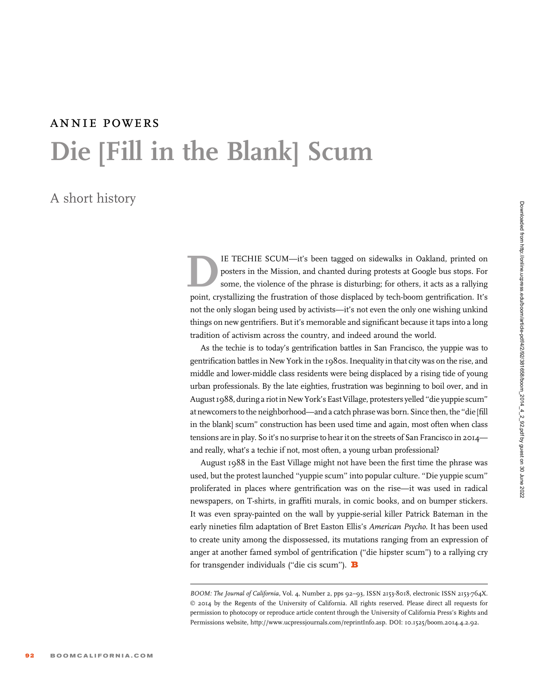## annie powers Die [Fill in the Blank] Scum

## A short history

IE TECHIE SCUM—it's been tagged on sidewalks in Oakland, printed on posters in the Mission, and chanted during protests at Google bus stops. For some, the violence of the phrase is disturbing; for others, it acts as a rall posters in the Mission, and chanted during protests at Google bus stops. For some, the violence of the phrase is disturbing; for others, it acts as a rallying point, crystallizing the frustration of those displaced by tech-boom gentrification. It's not the only slogan being used by activists—it's not even the only one wishing unkind things on new gentrifiers. But it's memorable and significant because it taps into a long tradition of activism across the country, and indeed around the world.

As the techie is to today's gentrification battles in San Francisco, the yuppie was to gentrification battles in New York in the 1980s. Inequality in that city was on the rise, and middle and lower-middle class residents were being displaced by a rising tide of young urban professionals. By the late eighties, frustration was beginning to boil over, and in August 1988, during a riot in New York's East Village, protesters yelled ''die yuppie scum'' at newcomers to the neighborhood—and a catch phrase was born. Since then, the ''die [fill in the blank] scum'' construction has been used time and again, most often when class tensions are in play. So it's no surprise to hear it on the streets of San Francisco in 2014 and really, what's a techie if not, most often, a young urban professional?

August 1988 in the East Village might not have been the first time the phrase was used, but the protest launched ''yuppie scum'' into popular culture. ''Die yuppie scum'' proliferated in places where gentrification was on the rise—it was used in radical newspapers, on T-shirts, in graffiti murals, in comic books, and on bumper stickers. It was even spray-painted on the wall by yuppie-serial killer Patrick Bateman in the early nineties film adaptation of Bret Easton Ellis's American Psycho. It has been used to create unity among the dispossessed, its mutations ranging from an expression of anger at another famed symbol of gentrification (''die hipster scum'') to a rallying cry for transgender individuals ("die cis scum").  $\mathbf{B}$ 

BOOM: The Journal of California, Vol. 4, Number 2, pps 92–93, ISSN 2153-8018, electronic ISSN 2153-764X. © 2014 by the Regents of the University of California. All rights reserved. Please direct all requests for permission to photocopy or reproduce article content through the University of California Press's Rights and Permissions website, http://www.ucpressjournals.com/reprintInfo.asp. DOI: 10.1525/boom.2014.4.2.92.